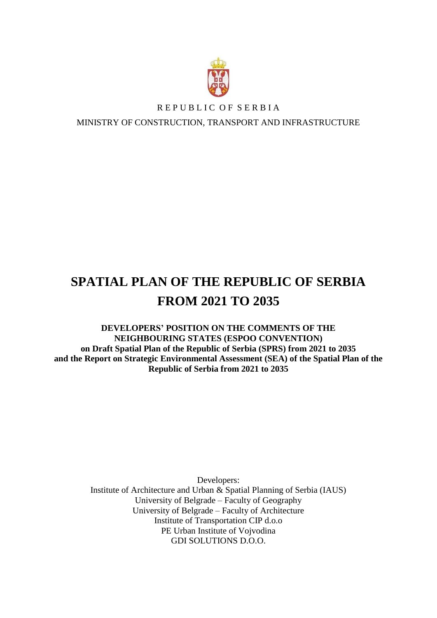

## REPUBLIC OF SERBIA

MINISTRY OF CONSTRUCTION, TRANSPORT AND INFRASTRUCTURE

# **SPATIAL PLAN OF THE REPUBLIC OF SERBIA FROM 2021 TO 2035**

**DEVELOPERS' POSITION ON THE COMMENTS OF THE NEIGHBOURING STATES (ESPOO CONVENTION) on Draft Spatial Plan of the Republic of Serbia (SPRS) from 2021 to 2035 and the Report on Strategic Environmental Assessment (SEA) of the Spatial Plan of the Republic of Serbia from 2021 to 2035** 

> Developers: Institute of Architecture and Urban & Spatial Planning of Serbia (IAUS) University of Belgrade – Faculty of Geography University of Belgrade – Faculty of Architecture Institute of Transportation CIP d.o.o PE Urban Institute of Vojvodina GDI SOLUTIONS D.O.O.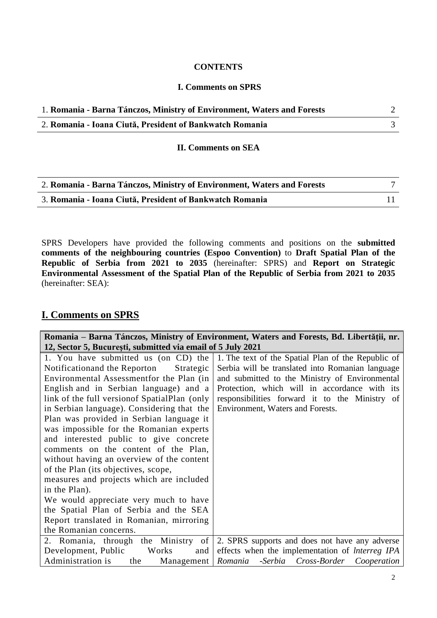#### **CONTENTS**

#### **I. Comments on SPRS**

| 1. Romania - Barna Tánczos, Ministry of Environment, Waters and Forests |  |
|-------------------------------------------------------------------------|--|
| 2. Romania - Ioana Ciută, President of Bankwatch Romania                |  |

#### **II. Comments on SEA**

| 2. Romania - Barna Tánczos, Ministry of Environment, Waters and Forests |  |
|-------------------------------------------------------------------------|--|
| 3. Romania - Ioana Ciută, President of Bankwatch Romania                |  |

SPRS Developers have provided the following comments and positions on the **submitted comments of the neighbouring countries (Espoo Convention)** to **Draft Spatial Plan of the Republic of Serbia from 2021 to 2035** (hereinafter: SPRS) and **Report on Strategic Environmental Assessment of the Spatial Plan of the Republic of Serbia from 2021 to 2035**  (hereinafter: SEA):

### **I. Comments on SPRS**

| Romania – Barna Tánczos, Ministry of Environment, Waters and Forests, Bd. Libertății, nr.<br>12, Sector 5, București, submitted via email of 5 July 2021                                                                                                                                                                                                                                                                                                                                                                                                                                                                                                                                                                                                    |                                                                                                                                                                                                                                                                                                 |
|-------------------------------------------------------------------------------------------------------------------------------------------------------------------------------------------------------------------------------------------------------------------------------------------------------------------------------------------------------------------------------------------------------------------------------------------------------------------------------------------------------------------------------------------------------------------------------------------------------------------------------------------------------------------------------------------------------------------------------------------------------------|-------------------------------------------------------------------------------------------------------------------------------------------------------------------------------------------------------------------------------------------------------------------------------------------------|
| 1. You have submitted us (on CD) the<br>Notificationand the Reporton<br>Strategic<br>Environmental Assessment for the Plan (in<br>English and in Serbian language) and a<br>link of the full version of Spatial Plan (only<br>in Serbian language). Considering that the<br>Plan was provided in Serbian language it<br>was impossible for the Romanian experts<br>and interested public to give concrete<br>comments on the content of the Plan,<br>without having an overview of the content<br>of the Plan (its objectives, scope,<br>measures and projects which are included<br>in the Plan).<br>We would appreciate very much to have<br>the Spatial Plan of Serbia and the SEA<br>Report translated in Romanian, mirroring<br>the Romanian concerns. | 1. The text of the Spatial Plan of the Republic of<br>Serbia will be translated into Romanian language<br>and submitted to the Ministry of Environmental<br>Protection, which will in accordance with its<br>responsibilities forward it to the Ministry of<br>Environment, Waters and Forests. |
| 2. Romania, through the Ministry of<br>Development, Public<br>Works<br>and                                                                                                                                                                                                                                                                                                                                                                                                                                                                                                                                                                                                                                                                                  | 2. SPRS supports and does not have any adverse<br>effects when the implementation of <i>Interreg IPA</i>                                                                                                                                                                                        |
| Administration is<br>the<br>Management   Romania                                                                                                                                                                                                                                                                                                                                                                                                                                                                                                                                                                                                                                                                                                            | -Serbia Cross-Border Cooperation                                                                                                                                                                                                                                                                |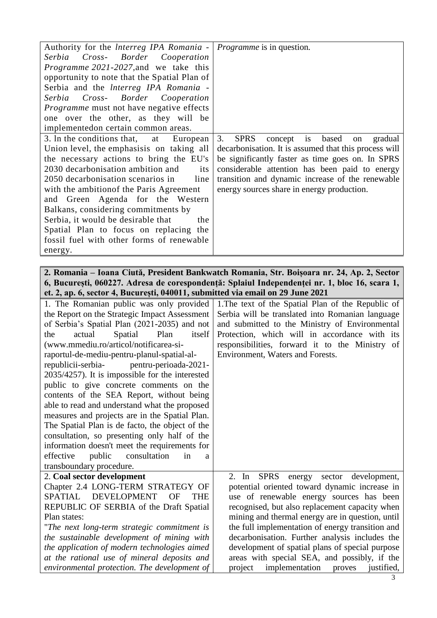| Authority for the Interreg IPA Romania -                                                    | <i>Programme</i> is in question.                                                                  |
|---------------------------------------------------------------------------------------------|---------------------------------------------------------------------------------------------------|
| Cross- Border<br>Serbia<br>Cooperation                                                      |                                                                                                   |
| <i>Programme 2021-2027, and we take this</i>                                                |                                                                                                   |
| opportunity to note that the Spatial Plan of                                                |                                                                                                   |
| Serbia and the Interreg IPA Romania -                                                       |                                                                                                   |
| Serbia Cross- Border Cooperation                                                            |                                                                                                   |
| <i>Programme</i> must not have negative effects                                             |                                                                                                   |
| one over the other, as they will be                                                         |                                                                                                   |
| implementedon certain common areas.                                                         |                                                                                                   |
| 3. In the conditions that,<br>at<br>European                                                | <b>SPRS</b><br>3.<br>is<br>based<br>concept<br>gradual<br>on                                      |
| Union level, the emphasis is on taking all                                                  | decarbonisation. It is assumed that this process will                                             |
| the necessary actions to bring the EU's                                                     | be significantly faster as time goes on. In SPRS                                                  |
| 2030 decarbonisation ambition and<br>its                                                    | considerable attention has been paid to energy                                                    |
| 2050 decarbonisation scenarios in<br>line                                                   | transition and dynamic increase of the renewable                                                  |
| with the ambition of the Paris Agreement                                                    | energy sources share in energy production.                                                        |
| and Green Agenda for the Western                                                            |                                                                                                   |
| Balkans, considering commitments by                                                         |                                                                                                   |
| Serbia, it would be desirable that<br>the                                                   |                                                                                                   |
| Spatial Plan to focus on replacing the                                                      |                                                                                                   |
| fossil fuel with other forms of renewable                                                   |                                                                                                   |
| energy.                                                                                     |                                                                                                   |
|                                                                                             |                                                                                                   |
|                                                                                             | 2. Romania – Ioana Ciută, President Bankwatch Romania, Str. Boișoara nr. 24, Ap. 2, Sector        |
|                                                                                             | 6, București, 060227. Adresa de corespondență: Splaiul Independenței nr. 1, bloc 16, scara 1,     |
| et. 2, ap. 6, sector 4, București, 040011, submitted via email on 29 June 2021              |                                                                                                   |
| 1. The Romanian public was only provided                                                    | 1. The text of the Spatial Plan of the Republic of                                                |
|                                                                                             |                                                                                                   |
| the Report on the Strategic Impact Assessment                                               | Serbia will be translated into Romanian language                                                  |
| of Serbia's Spatial Plan (2021-2035) and not                                                | and submitted to the Ministry of Environmental                                                    |
| actual<br>Spatial<br>Plan<br>itself<br>the                                                  | Protection, which will in accordance with its                                                     |
| (www.mmediu.ro/articol/notificarea-si-                                                      | responsibilities, forward it to the Ministry of                                                   |
| raportul-de-mediu-pentru-planul-spatial-al-                                                 | Environment, Waters and Forests.                                                                  |
| republicii-serbia- pentru-perioada-2021-                                                    |                                                                                                   |
| 2035/4257). It is impossible for the interested                                             |                                                                                                   |
| public to give concrete comments on the                                                     |                                                                                                   |
| contents of the SEA Report, without being                                                   |                                                                                                   |
| able to read and understand what the proposed                                               |                                                                                                   |
| measures and projects are in the Spatial Plan.                                              |                                                                                                   |
| The Spatial Plan is de facto, the object of the                                             |                                                                                                   |
| consultation, so presenting only half of the                                                |                                                                                                   |
| information doesn't meet the requirements for                                               |                                                                                                   |
| consultation<br>effective<br>public<br>in<br>a                                              |                                                                                                   |
| transboundary procedure.                                                                    |                                                                                                   |
| 2. Coal sector development                                                                  | <b>SPRS</b><br>$2.$ In<br>development,<br>energy<br>sector                                        |
| Chapter 2.4 LONG-TERM STRATEGY OF<br><b>SPATIAL</b><br>THE<br>OF                            | potential oriented toward dynamic increase in                                                     |
| <b>DEVELOPMENT</b>                                                                          | use of renewable energy sources has been                                                          |
| REPUBLIC OF SERBIA of the Draft Spatial<br>Plan states:                                     | recognised, but also replacement capacity when                                                    |
|                                                                                             | mining and thermal energy are in question, until                                                  |
| "The next long-term strategic commitment is                                                 | the full implementation of energy transition and                                                  |
| the sustainable development of mining with                                                  | decarbonisation. Further analysis includes the                                                    |
| the application of modern technologies aimed                                                | development of spatial plans of special purpose                                                   |
| at the rational use of mineral deposits and<br>environmental protection. The development of | areas with special SEA, and possibly, if the<br>project<br>implementation<br>justified,<br>proves |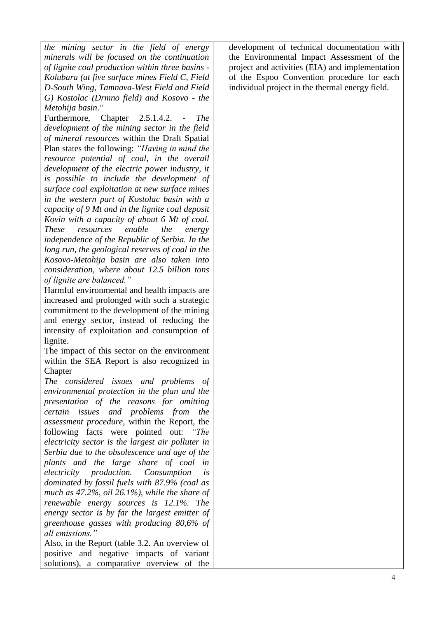*the mining sector in the field of energy minerals will be focused on the continuation of lignite coal production within three basins - Kolubara (at five surface mines Field C, Field D-South Wing, Tamnava-West Field and Field G) Kostolac (Drmno field) and Kosovo - the Metohija basin*.*''*

Furthermore, Chapter 2.5.1.4.2. - *The development of the mining sector in the field of mineral resources* within the Draft Spatial Plan states the following: *"Having in mind the resource potential of coal, in the overall development of the electric power industry, it is possible to include the development of surface coal exploitation at new surface mines in the western part of Kostolac basin with a capacity of 9 Mt and in the lignite coal deposit Kovin with a capacity of about 6 Mt of coal. These resources enable the energy independence of the Republic of Serbia. In the long run, the geological reserves of coal in the Kosovo-Metohija basin are also taken into consideration, where about 12.5 billion tons of lignite are balanced."*

Harmful environmental and health impacts are increased and prolonged with such a strategic commitment to the development of the mining and energy sector, instead of reducing the intensity of exploitation and consumption of lignite.

The impact of this sector on the environment within the SEA Report is also recognized in **Chapter** 

*The considered issues and problems of environmental protection in the plan and the presentation of the reasons for omitting certain issues and problems from the assessment procedure*, within the Report, the following facts were pointed out: *"The electricity sector is the largest air polluter in Serbia due to the obsolescence and age of the plants and the large share of coal in electricity production. Consumption is dominated by fossil fuels with 87.9% (coal as much as 47.2%, oil 26.1%), while the share of renewable energy sources is 12.1%. The energy sector is by far the largest emitter of greenhouse gasses with producing 80,6% of all emissions."*

Also, in the Report (table 3.2. An overview of positive and negative impacts of variant solutions), a comparative overview of the development of technical documentation with the Environmental Impact Assessment of the project and activities (EIA) and implementation of the Espoo Convention procedure for each individual project in the thermal energy field.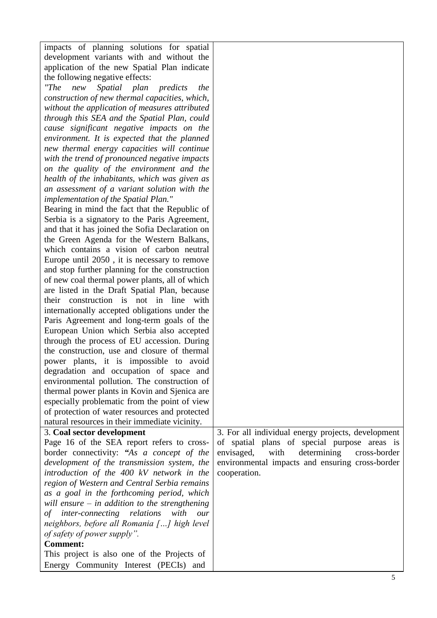| impacts of planning solutions for spatial                                                   |                                                    |
|---------------------------------------------------------------------------------------------|----------------------------------------------------|
| development variants with and without the                                                   |                                                    |
| application of the new Spatial Plan indicate                                                |                                                    |
| the following negative effects:                                                             |                                                    |
| T<br>new<br>plan<br>Spatial<br>predicts<br>the                                              |                                                    |
| construction of new thermal capacities, which,                                              |                                                    |
| without the application of measures attributed                                              |                                                    |
| through this SEA and the Spatial Plan, could                                                |                                                    |
| cause significant negative impacts on the                                                   |                                                    |
| environment. It is expected that the planned                                                |                                                    |
| new thermal energy capacities will continue                                                 |                                                    |
| with the trend of pronounced negative impacts                                               |                                                    |
| on the quality of the environment and the                                                   |                                                    |
| health of the inhabitants, which was given as                                               |                                                    |
| an assessment of a variant solution with the                                                |                                                    |
| implementation of the Spatial Plan."                                                        |                                                    |
| Bearing in mind the fact that the Republic of                                               |                                                    |
| Serbia is a signatory to the Paris Agreement,                                               |                                                    |
| and that it has joined the Sofia Declaration on                                             |                                                    |
| the Green Agenda for the Western Balkans,                                                   |                                                    |
| which contains a vision of carbon neutral                                                   |                                                    |
| Europe until 2050, it is necessary to remove                                                |                                                    |
| and stop further planning for the construction                                              |                                                    |
| of new coal thermal power plants, all of which                                              |                                                    |
| are listed in the Draft Spatial Plan, because                                               |                                                    |
| their construction is not in line with                                                      |                                                    |
| internationally accepted obligations under the                                              |                                                    |
| Paris Agreement and long-term goals of the                                                  |                                                    |
| European Union which Serbia also accepted                                                   |                                                    |
| through the process of EU accession. During<br>the construction, use and closure of thermal |                                                    |
| power plants, it is impossible to avoid                                                     |                                                    |
| degradation and occupation of space and                                                     |                                                    |
| environmental pollution. The construction of                                                |                                                    |
| thermal power plants in Kovin and Sjenica are                                               |                                                    |
| especially problematic from the point of view                                               |                                                    |
| of protection of water resources and protected                                              |                                                    |
| natural resources in their immediate vicinity.                                              |                                                    |
| 3. Coal sector development                                                                  | 3. For all individual energy projects, development |
| Page 16 of the SEA report refers to cross-                                                  | of spatial plans of special purpose areas is       |
| border connectivity: "As a concept of the                                                   | with<br>determining<br>envisaged,<br>cross-border  |
| development of the transmission system, the                                                 | environmental impacts and ensuring cross-border    |
| introduction of the 400 kV network in the                                                   | cooperation.                                       |
| region of Western and Central Serbia remains                                                |                                                    |
| as a goal in the forthcoming period, which                                                  |                                                    |
| will ensure $-$ in addition to the strengthening                                            |                                                    |
| of inter-connecting relations<br>with<br>our                                                |                                                    |
| neighbors, before all Romania [] high level                                                 |                                                    |
| of safety of power supply".                                                                 |                                                    |
| <b>Comment:</b>                                                                             |                                                    |
| This project is also one of the Projects of                                                 |                                                    |
| Energy Community Interest (PECIs) and                                                       |                                                    |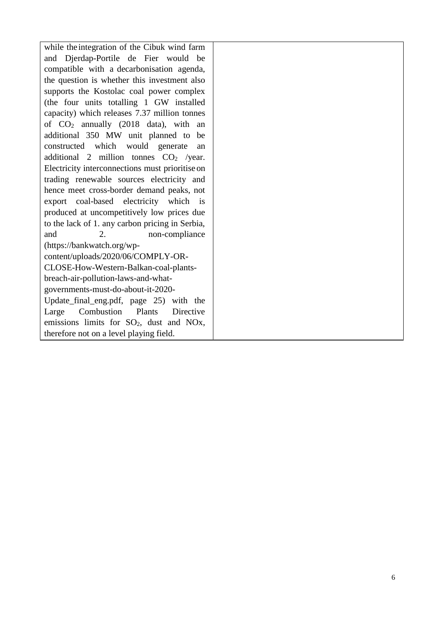while theintegration of the Cibuk wind farm and Djerdap-Portile de Fier would be compatible with a decarbonisation agenda, the question is whether this investment also supports the Kostolac coal power complex (the four units totalling 1 GW installed capacity) which releases 7.37 million tonnes of CO<sup>2</sup> annually (2018 data), with an additional 350 MW unit planned to be constructed which would generate an additional 2 million tonnes  $CO<sub>2</sub>$  /year. Electricity interconnections must prioritiseon trading renewable sources electricity and hence meet cross-border demand peaks, not export coal-based electricity which is produced at uncompetitively low prices due to the lack of 1. any carbon pricing in Serbia, and 2. non-compliance (https://bankwatch.org/wpcontent/uploads/2020/06/COMPLY-OR-CLOSE-How-Western-Balkan-coal-plantsbreach-air-pollution-laws-and-whatgovernments-must-do-about-it-2020- Update\_final\_eng.pdf, page 25) with the Large Combustion Plants Directive emissions limits for SO2, dust and NOx, therefore not on a level playing field.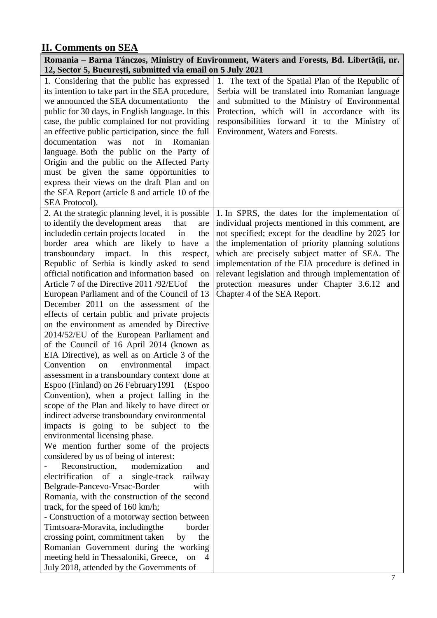# **II. Comments on SEA**

| 12, Sector 5, București, submitted via email on 5 July 2021 | Romania – Barna Tánczos, Ministry of Environment, Waters and Forests, Bd. Libertății, nr. |
|-------------------------------------------------------------|-------------------------------------------------------------------------------------------|
| 1. Considering that the public has expressed                | 1. The text of the Spatial Plan of the Republic of                                        |
| its intention to take part in the SEA procedure,            | Serbia will be translated into Romanian language                                          |
| we announced the SEA documentation to<br>the                | and submitted to the Ministry of Environmental                                            |
| public for 30 days, in English language. In this            | Protection, which will in accordance with its                                             |
| case, the public complained for not providing               | responsibilities forward it to the Ministry of                                            |
| an effective public participation, since the full           | Environment, Waters and Forests.                                                          |
| in<br>documentation<br>was<br>not<br>Romanian               |                                                                                           |
| language. Both the public on the Party of                   |                                                                                           |
| Origin and the public on the Affected Party                 |                                                                                           |
| must be given the same opportunities to                     |                                                                                           |
| express their views on the draft Plan and on                |                                                                                           |
| the SEA Report (article 8 and article 10 of the             |                                                                                           |
| SEA Protocol).                                              |                                                                                           |
| 2. At the strategic planning level, it is possible          | 1. In SPRS, the dates for the implementation of                                           |
| to identify the development areas<br>that<br>are            | individual projects mentioned in this comment, are                                        |
| included in certain projects located<br>the<br>in           | not specified; except for the deadline by 2025 for                                        |
| border area which are likely to have a                      | the implementation of priority planning solutions                                         |
| transboundary impact.<br>ln<br>this<br>respect,             | which are precisely subject matter of SEA. The                                            |
| Republic of Serbia is kindly asked to send                  | implementation of the EIA procedure is defined in                                         |
| official notification and information based<br>on           | relevant legislation and through implementation of                                        |
| Article 7 of the Directive 2011/92/EUof<br>the              | protection measures under Chapter 3.6.12 and                                              |
| European Parliament and of the Council of 13                | Chapter 4 of the SEA Report.                                                              |
| December 2011 on the assessment of the                      |                                                                                           |
| effects of certain public and private projects              |                                                                                           |
| on the environment as amended by Directive                  |                                                                                           |
| 2014/52/EU of the European Parliament and                   |                                                                                           |
| of the Council of 16 April 2014 (known as                   |                                                                                           |
| EIA Directive), as well as on Article 3 of the              |                                                                                           |
| Convention<br>environmental<br>impact<br>on                 |                                                                                           |
| assessment in a transboundary context done at               |                                                                                           |
| Espoo (Finland) on 26 February 1991 (Espoo                  |                                                                                           |
| Convention), when a project falling in the                  |                                                                                           |
| scope of the Plan and likely to have direct or              |                                                                                           |
| indirect adverse transboundary environmental                |                                                                                           |
| impacts is going to be subject to the                       |                                                                                           |
| environmental licensing phase.                              |                                                                                           |
| We mention further some of the projects                     |                                                                                           |
| considered by us of being of interest:                      |                                                                                           |
| modernization<br>Reconstruction,<br>and                     |                                                                                           |
| electrification of<br>single-track railway<br>$\mathbf{a}$  |                                                                                           |
| Belgrade-Pancevo-Vrsac-Border<br>with                       |                                                                                           |
| Romania, with the construction of the second                |                                                                                           |
| track, for the speed of 160 km/h;                           |                                                                                           |
| - Construction of a motorway section between                |                                                                                           |
| Timtsoara-Moravita, includingthe<br>border                  |                                                                                           |
| crossing point, commitment taken<br>the<br>by               |                                                                                           |
| Romanian Government during the working                      |                                                                                           |
| meeting held in Thessaloniki, Greece, on<br>4               |                                                                                           |
| July 2018, attended by the Governments of                   |                                                                                           |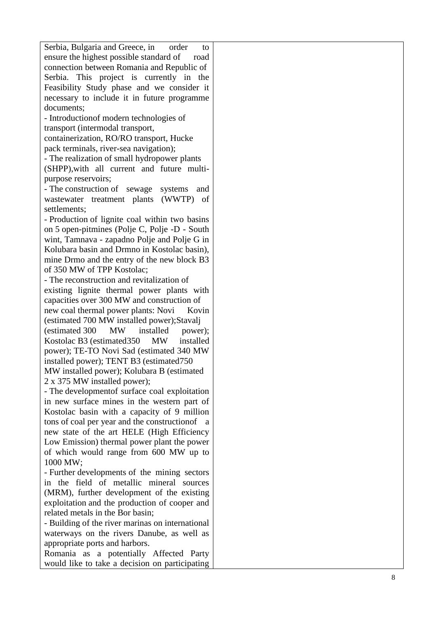| Serbia, Bulgaria and Greece, in<br>order<br>to      |  |
|-----------------------------------------------------|--|
| ensure the highest possible standard of<br>road     |  |
| connection between Romania and Republic of          |  |
| Serbia. This project is currently in the            |  |
| Feasibility Study phase and we consider it          |  |
| necessary to include it in future programme         |  |
| documents;                                          |  |
| - Introduction of modern technologies of            |  |
| transport (intermodal transport,                    |  |
| containerization, RO/RO transport, Hucke            |  |
| pack terminals, river-sea navigation);              |  |
| - The realization of small hydropower plants        |  |
| (SHPP), with all current and future multi-          |  |
| purpose reservoirs;                                 |  |
| - The construction of sewage<br>systems<br>and      |  |
| wastewater treatment plants (WWTP)<br>of            |  |
| settlements;                                        |  |
| - Production of lignite coal within two basins      |  |
| on 5 open-pitmines (Polje C, Polje -D - South       |  |
| wint, Tamnava - zapadno Polje and Polje G in        |  |
| Kolubara basin and Drmno in Kostolac basin),        |  |
| mine Drmo and the entry of the new block B3         |  |
| of 350 MW of TPP Kostolac;                          |  |
| - The reconstruction and revitalization of          |  |
| existing lignite thermal power plants with          |  |
| capacities over 300 MW and construction of          |  |
| new coal thermal power plants: Novi<br>Kovin        |  |
| (estimated 700 MW installed power); Stavalj         |  |
| (estimated 300<br><b>MW</b><br>installed<br>power); |  |
| Kostolac B3 (estimated 350)<br>MW<br>installed      |  |
| power); TE-TO Novi Sad (estimated 340 MW            |  |
| installed power); TENT B3 (estimated 750)           |  |
| MW installed power); Kolubara B (estimated          |  |
| 2 x 375 MW installed power);                        |  |
| - The development of surface coal exploitation      |  |
| in new surface mines in the western part of         |  |
| Kostolac basin with a capacity of 9 million         |  |
| tons of coal per year and the construction of<br>a. |  |
| new state of the art HELE (High Efficiency          |  |
| Low Emission) thermal power plant the power         |  |
| of which would range from 600 MW up to              |  |
| 1000 MW;                                            |  |
| - Further developments of the mining sectors        |  |
| in the field of metallic mineral sources            |  |
| (MRM), further development of the existing          |  |
| exploitation and the production of cooper and       |  |
| related metals in the Bor basin;                    |  |
| - Building of the river marinas on international    |  |
| waterways on the rivers Danube, as well as          |  |
|                                                     |  |

appropriate ports and harbors.

Romania as a potentially Affected Party would like to take a decision on participating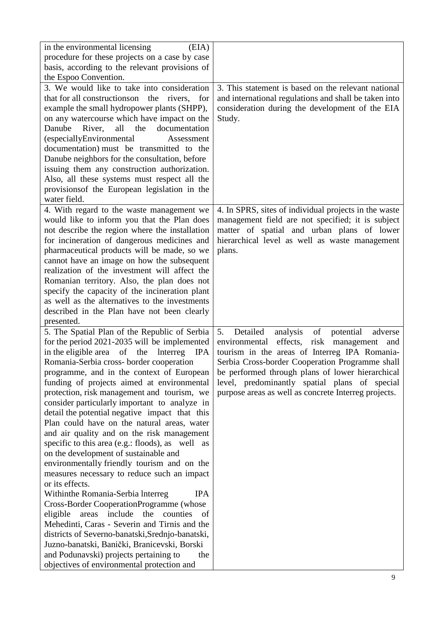| (EIA)<br>in the environmental licensing                                                       |                                                          |
|-----------------------------------------------------------------------------------------------|----------------------------------------------------------|
| procedure for these projects on a case by case                                                |                                                          |
| basis, according to the relevant provisions of<br>the Espoo Convention.                       |                                                          |
| 3. We would like to take into consideration                                                   | 3. This statement is based on the relevant national      |
| that for all constructions on the rivers, for                                                 | and international regulations and shall be taken into    |
| example the small hydropower plants (SHPP),                                                   | consideration during the development of the EIA          |
| on any watercourse which have impact on the                                                   | Study.                                                   |
| River.<br>Danube<br>all<br>the<br>documentation                                               |                                                          |
| (especiallyEnvironmental<br>Assessment                                                        |                                                          |
| documentation) must be transmitted to the                                                     |                                                          |
| Danube neighbors for the consultation, before                                                 |                                                          |
| issuing them any construction authorization.                                                  |                                                          |
| Also, all these systems must respect all the                                                  |                                                          |
| provisions of the European legislation in the                                                 |                                                          |
| water field.                                                                                  |                                                          |
| 4. With regard to the waste management we                                                     | 4. In SPRS, sites of individual projects in the waste    |
| would like to inform you that the Plan does                                                   | management field are not specified; it is subject        |
| not describe the region where the installation                                                | matter of spatial and urban plans of lower               |
| for incineration of dangerous medicines and                                                   | hierarchical level as well as waste management           |
| pharmaceutical products will be made, so we                                                   | plans.                                                   |
| cannot have an image on how the subsequent<br>realization of the investment will affect the   |                                                          |
| Romanian territory. Also, the plan does not                                                   |                                                          |
| specify the capacity of the incineration plant                                                |                                                          |
| as well as the alternatives to the investments                                                |                                                          |
| described in the Plan have not been clearly                                                   |                                                          |
| presented.                                                                                    |                                                          |
| 5. The Spatial Plan of the Republic of Serbia                                                 | Detailed<br>of<br>5.<br>analysis<br>potential<br>adverse |
| for the period 2021-2035 will be implemented                                                  | risk management<br>effects,<br>environmental<br>and      |
| in the eligible area of the<br>Interreg IPA                                                   | tourism in the areas of Interreg IPA Romania-            |
| Romania-Serbia cross- border cooperation                                                      | Serbia Cross-border Cooperation Programme shall          |
| programme, and in the context of European                                                     | be performed through plans of lower hierarchical         |
| funding of projects aimed at environmental                                                    | level, predominantly spatial plans of special            |
| protection, risk management and tourism, we                                                   | purpose areas as well as concrete Interreg projects.     |
| consider particularly important to analyze in                                                 |                                                          |
| detail the potential negative impact that this<br>Plan could have on the natural areas, water |                                                          |
| and air quality and on the risk management                                                    |                                                          |
| specific to this area (e.g.: floods), as well as                                              |                                                          |
| on the development of sustainable and                                                         |                                                          |
| environmentally friendly tourism and on the                                                   |                                                          |
| measures necessary to reduce such an impact                                                   |                                                          |
| or its effects.                                                                               |                                                          |
| Withinthe Romania-Serbia Interreg<br><b>IPA</b>                                               |                                                          |
| Cross-Border CooperationProgramme (whose                                                      |                                                          |
| eligible areas include the counties<br>of                                                     |                                                          |
| Mehedinti, Caras - Severin and Tirnis and the                                                 |                                                          |
| districts of Severno-banatski, Srednjo-banatski,                                              |                                                          |
| Juzno-banatski, Banički, Branicevski, Borski                                                  |                                                          |
| and Podunavski) projects pertaining to<br>the                                                 |                                                          |
| objectives of environmental protection and                                                    |                                                          |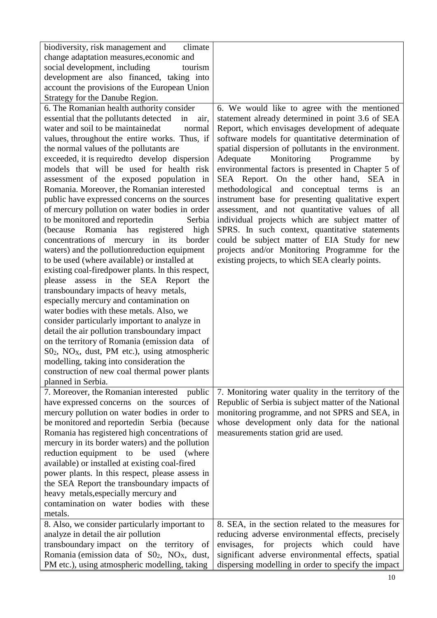| biodiversity, risk management and<br>climate                                        |                                                      |
|-------------------------------------------------------------------------------------|------------------------------------------------------|
| change adaptation measures, economic and                                            |                                                      |
| social development, including<br>tourism                                            |                                                      |
| development are also financed, taking into                                          |                                                      |
| account the provisions of the European Union                                        |                                                      |
| Strategy for the Danube Region.                                                     |                                                      |
| 6. The Romanian health authority consider                                           | 6. We would like to agree with the mentioned         |
| essential that the pollutants detected<br>in<br>air,                                | statement already determined in point 3.6 of SEA     |
| water and soil to be maintainedat<br>normal                                         | Report, which envisages development of adequate      |
| values, throughout the entire works. Thus, if                                       | software models for quantitative determination of    |
| the normal values of the pollutants are                                             | spatial dispersion of pollutants in the environment. |
| exceeded, it is required to develop dispersion                                      | Monitoring<br>Adequate<br>Programme<br>by            |
| models that will be used for health risk                                            | environmental factors is presented in Chapter 5 of   |
| assessment of the exposed population in                                             | SEA Report. On the other hand, SEA in                |
| Romania. Moreover, the Romanian interested                                          | methodological and conceptual terms is<br>an         |
| public have expressed concerns on the sources                                       | instrument base for presenting qualitative expert    |
| of mercury pollution on water bodies in order                                       | assessment, and not quantitative values of all       |
| to be monitored and reportedin<br>Serbia                                            | individual projects which are subject matter of      |
| Romania has registered high<br>(because)                                            | SPRS. In such context, quantitative statements       |
| concentrations of mercury in its<br>border                                          | could be subject matter of EIA Study for new         |
| waters) and the pollution reduction equipment                                       | projects and/or Monitoring Programme for the         |
| to be used (where available) or installed at                                        | existing projects, to which SEA clearly points.      |
| existing coal-firedpower plants. In this respect,                                   |                                                      |
| please assess in the SEA Report<br>the                                              |                                                      |
| transboundary impacts of heavy metals,                                              |                                                      |
| especially mercury and contamination on<br>water bodies with these metals. Also, we |                                                      |
| consider particularly important to analyze in                                       |                                                      |
| detail the air pollution transboundary impact                                       |                                                      |
| on the territory of Romania (emission data of                                       |                                                      |
| $SO_2$ , NO <sub>X</sub> , dust, PM etc.), using atmospheric                        |                                                      |
| modelling, taking into consideration the                                            |                                                      |
| construction of new coal thermal power plants                                       |                                                      |
| planned in Serbia.                                                                  |                                                      |
| 7. Moreover, the Romanian interested<br>public                                      | 7. Monitoring water quality in the territory of the  |
| have expressed concerns on the sources of                                           | Republic of Serbia is subject matter of the National |
| mercury pollution on water bodies in order to                                       | monitoring programme, and not SPRS and SEA, in       |
| be monitored and reported in Serbia (because                                        | whose development only data for the national         |
| Romania has registered high concentrations of                                       | measurements station grid are used.                  |
| mercury in its border waters) and the pollution                                     |                                                      |
| reduction equipment to be used (where                                               |                                                      |
| available) or installed at existing coal-fired                                      |                                                      |
| power plants. In this respect, please assess in                                     |                                                      |
| the SEA Report the transboundary impacts of                                         |                                                      |
| heavy metals, especially mercury and                                                |                                                      |
| contamination on water bodies with these                                            |                                                      |
| metals.                                                                             |                                                      |
| 8. Also, we consider particularly important to                                      | 8. SEA, in the section related to the measures for   |
| analyze in detail the air pollution                                                 | reducing adverse environmental effects, precisely    |
| transboundary impact on the territory of                                            | envisages,<br>for projects<br>which<br>could<br>have |
| Romania (emission data of S02, NO <sub>X</sub> , dust,                              | significant adverse environmental effects, spatial   |
| PM etc.), using atmospheric modelling, taking                                       | dispersing modelling in order to specify the impact  |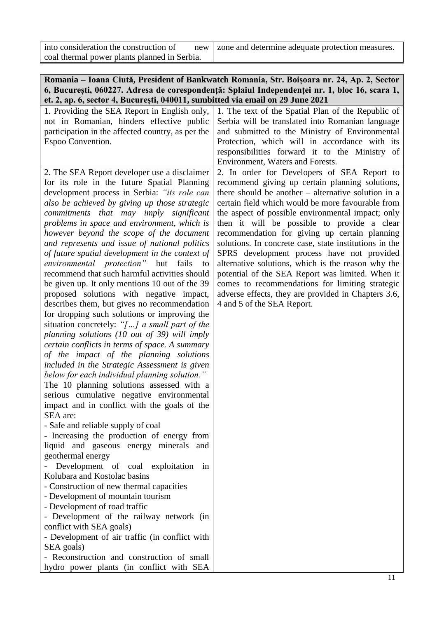| into consideration the construction of       | new   zone and determine adequate protection measures. |
|----------------------------------------------|--------------------------------------------------------|
| coal thermal power plants planned in Serbia. |                                                        |

| Romania – Ioana Ciută, President of Bankwatch Romania, Str. Boișoara nr. 24, Ap. 2, Sector    |
|-----------------------------------------------------------------------------------------------|
| 6, București, 060227. Adresa de corespondență: Splaiul Independenței nr. 1, bloc 16, scara 1, |
| et. 2, ap. 6, sector 4, București, 040011, sumbitted via email on 29 June 2021                |

| 1. Providing the SEA Report in English only,                                           | 1. The text of the Spatial Plan of the Republic of     |
|----------------------------------------------------------------------------------------|--------------------------------------------------------|
| not in Romanian, hinders effective public                                              | Serbia will be translated into Romanian language       |
| participation in the affected country, as per the                                      | and submitted to the Ministry of Environmental         |
| Espoo Convention.                                                                      | Protection, which will in accordance with its          |
|                                                                                        | responsibilities forward it to the Ministry of         |
|                                                                                        | Environment, Waters and Forests.                       |
| 2. The SEA Report developer use a disclaimer                                           | 2. In order for Developers of SEA Report to            |
| for its role in the future Spatial Planning                                            | recommend giving up certain planning solutions,        |
| development process in Serbia: "its role can                                           | there should be another $-$ alternative solution in a  |
| also be achieved by giving up those strategic                                          | certain field which would be more favourable from      |
| commitments that may imply significant                                                 | the aspect of possible environmental impact; only      |
| problems in space and environment, which is                                            | then it will be possible to provide a clear            |
| however beyond the scope of the document                                               | recommendation for giving up certain planning          |
| and represents and issue of national politics                                          | solutions. In concrete case, state institutions in the |
| of future spatial development in the context of                                        | SPRS development process have not provided             |
| environmental protection" but fails<br>to                                              | alternative solutions, which is the reason why the     |
| recommend that such harmful activities should                                          | potential of the SEA Report was limited. When it       |
| be given up. It only mentions 10 out of the 39                                         | comes to recommendations for limiting strategic        |
| proposed solutions with negative impact,                                               | adverse effects, they are provided in Chapters 3.6,    |
| describes them, but gives no recommendation                                            | 4 and 5 of the SEA Report.                             |
| for dropping such solutions or improving the                                           |                                                        |
| situation concretely: "[] a small part of the                                          |                                                        |
| planning solutions (10 out of 39) will imply                                           |                                                        |
| certain conflicts in terms of space. A summary                                         |                                                        |
| of the impact of the planning solutions                                                |                                                        |
| included in the Strategic Assessment is given                                          |                                                        |
| below for each individual planning solution."                                          |                                                        |
| The 10 planning solutions assessed with a<br>serious cumulative negative environmental |                                                        |
| impact and in conflict with the goals of the                                           |                                                        |
| SEA are:                                                                               |                                                        |
| - Safe and reliable supply of coal                                                     |                                                        |
| - Increasing the production of energy from                                             |                                                        |
| liquid and gaseous energy minerals and                                                 |                                                        |
| geothermal energy                                                                      |                                                        |
| Development of coal exploitation<br>in                                                 |                                                        |
| Kolubara and Kostolac basins                                                           |                                                        |
| - Construction of new thermal capacities                                               |                                                        |
| - Development of mountain tourism                                                      |                                                        |
| - Development of road traffic                                                          |                                                        |
| - Development of the railway network (in                                               |                                                        |
| conflict with SEA goals)                                                               |                                                        |
| - Development of air traffic (in conflict with                                         |                                                        |
| SEA goals)                                                                             |                                                        |
| - Reconstruction and construction of small                                             |                                                        |
| hydro power plants (in conflict with SEA                                               |                                                        |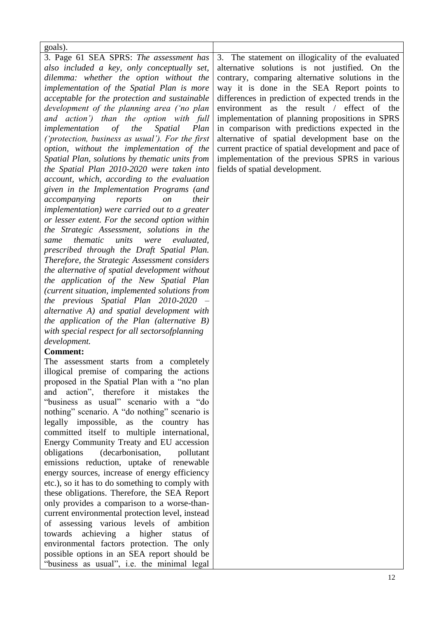| goals).                                                                                      |                                                                                                  |
|----------------------------------------------------------------------------------------------|--------------------------------------------------------------------------------------------------|
| 3. Page 61 SEA SPRS: The assessment has                                                      | 3. The statement on illogicality of the evaluated                                                |
| also included a key, only conceptually set,                                                  | alternative solutions is not justified. On the                                                   |
| dilemma: whether the option without the                                                      | contrary, comparing alternative solutions in the                                                 |
| implementation of the Spatial Plan is more                                                   | way it is done in the SEA Report points to                                                       |
| acceptable for the protection and sustainable<br>development of the planning area ('no plan  | differences in prediction of expected trends in the<br>environment as the result / effect of the |
| and action') than the option with full                                                       | implementation of planning propositions in SPRS                                                  |
| <i>implementation</i> of the<br>Spatial<br>Plan                                              | in comparison with predictions expected in the                                                   |
| ('protection, business as usual'). For the first                                             | alternative of spatial development base on the                                                   |
| option, without the implementation of the                                                    | current practice of spatial development and pace of                                              |
| Spatial Plan, solutions by thematic units from                                               | implementation of the previous SPRS in various                                                   |
| the Spatial Plan 2010-2020 were taken into                                                   | fields of spatial development.                                                                   |
| account, which, according to the evaluation                                                  |                                                                                                  |
| given in the Implementation Programs (and                                                    |                                                                                                  |
| accompanying<br>their<br>reports<br><sub>on</sub>                                            |                                                                                                  |
| <i>implementation</i> ) were carried out to a greater                                        |                                                                                                  |
| or lesser extent. For the second option within                                               |                                                                                                  |
| the Strategic Assessment, solutions in the                                                   |                                                                                                  |
| thematic<br>units<br>evaluated,<br>were<br>same                                              |                                                                                                  |
| prescribed through the Draft Spatial Plan.                                                   |                                                                                                  |
| Therefore, the Strategic Assessment considers                                                |                                                                                                  |
| the alternative of spatial development without                                               |                                                                                                  |
| the application of the New Spatial Plan                                                      |                                                                                                  |
| (current situation, implemented solutions from                                               |                                                                                                  |
| the previous Spatial Plan 2010-2020 –                                                        |                                                                                                  |
| alternative A) and spatial development with                                                  |                                                                                                  |
| the application of the Plan (alternative $B$ )                                               |                                                                                                  |
| with special respect for all sectorsofplanning                                               |                                                                                                  |
| development.                                                                                 |                                                                                                  |
| <b>Comment:</b>                                                                              |                                                                                                  |
| The assessment starts from a completely                                                      |                                                                                                  |
| illogical premise of comparing the actions                                                   |                                                                                                  |
| proposed in the Spatial Plan with a "no plan<br>action", therefore it mistakes<br>and<br>the |                                                                                                  |
| "business as usual" scenario with a "do                                                      |                                                                                                  |
| nothing" scenario. A "do nothing" scenario is                                                |                                                                                                  |
| legally impossible,<br>as the country has                                                    |                                                                                                  |
| committed itself to multiple international,                                                  |                                                                                                  |
| Energy Community Treaty and EU accession                                                     |                                                                                                  |
| (decarbonisation,<br>obligations<br>pollutant                                                |                                                                                                  |
| emissions reduction, uptake of renewable                                                     |                                                                                                  |
| energy sources, increase of energy efficiency                                                |                                                                                                  |
| etc.), so it has to do something to comply with                                              |                                                                                                  |
| these obligations. Therefore, the SEA Report                                                 |                                                                                                  |
| only provides a comparison to a worse-than-                                                  |                                                                                                  |
| current environmental protection level, instead                                              |                                                                                                  |

of assessing various levels of ambition towards achieving a higher status of environmental factors protection. The only possible options in an SEA report should be "business as usual", i.e. the minimal legal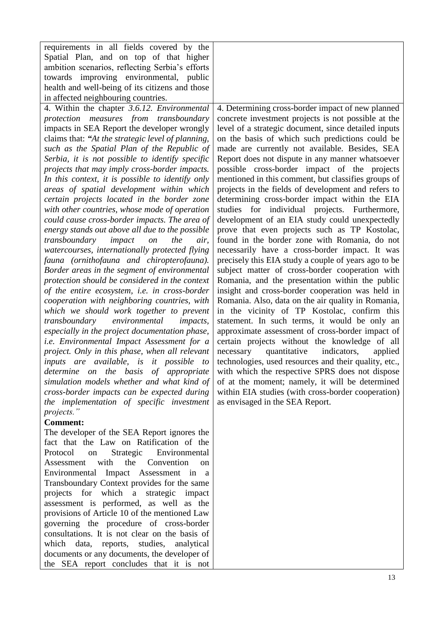| requirements in all fields covered by the<br>Spatial Plan, and on top of that higher<br>ambition scenarios, reflecting Serbia's efforts<br>towards improving environmental, public<br>health and well-being of its citizens and those<br>in affected neighbouring countries.<br>4. Within the chapter 3.6.12. Environmental                                                                                                                                                                                                                                                                                                                                                                                                                                                                                                                                                                                                                                                                                                                                                                                                                                                                                                                                                                                                                                                                                                                                   | 4. Determining cross-border impact of new planned                                                                                                                                                                                                                                                                                                                                                                                                                                                                                                                                                                                                                                                                                                                                                                                                                                                                                                                                                                                                                                                                                                                                                                                                                                                                                                                                                                                                                                                                                        |
|---------------------------------------------------------------------------------------------------------------------------------------------------------------------------------------------------------------------------------------------------------------------------------------------------------------------------------------------------------------------------------------------------------------------------------------------------------------------------------------------------------------------------------------------------------------------------------------------------------------------------------------------------------------------------------------------------------------------------------------------------------------------------------------------------------------------------------------------------------------------------------------------------------------------------------------------------------------------------------------------------------------------------------------------------------------------------------------------------------------------------------------------------------------------------------------------------------------------------------------------------------------------------------------------------------------------------------------------------------------------------------------------------------------------------------------------------------------|------------------------------------------------------------------------------------------------------------------------------------------------------------------------------------------------------------------------------------------------------------------------------------------------------------------------------------------------------------------------------------------------------------------------------------------------------------------------------------------------------------------------------------------------------------------------------------------------------------------------------------------------------------------------------------------------------------------------------------------------------------------------------------------------------------------------------------------------------------------------------------------------------------------------------------------------------------------------------------------------------------------------------------------------------------------------------------------------------------------------------------------------------------------------------------------------------------------------------------------------------------------------------------------------------------------------------------------------------------------------------------------------------------------------------------------------------------------------------------------------------------------------------------------|
| protection measures from transboundary<br>impacts in SEA Report the developer wrongly<br>claims that: "At the strategic level of planning,<br>such as the Spatial Plan of the Republic of<br>Serbia, it is not possible to identify specific<br>projects that may imply cross-border impacts.<br>In this context, it is possible to identify only<br>areas of spatial development within which<br>certain projects located in the border zone<br>with other countries, whose mode of operation<br>could cause cross-border impacts. The area of<br>energy stands out above all due to the possible<br>transboundary<br>the<br>impact<br>on<br>air,<br>watercourses, internationally protected flying<br>fauna (ornithofauna and chiropterofauna).<br>Border areas in the segment of environmental<br>protection should be considered in the context<br>of the entire ecosystem, i.e. in cross-border<br>cooperation with neighboring countries, with<br>which we should work together to prevent<br>transboundary<br>environmental<br><i>impacts,</i><br>especially in the project documentation phase,<br><i>i.e.</i> Environmental Impact Assessment for a<br>project. Only in this phase, when all relevant<br>inputs are available, is it possible to<br>on the basis of appropriate<br>determine<br>simulation models whether and what kind of<br>cross-border impacts can be expected during<br>the implementation of specific investment<br>projects." | concrete investment projects is not possible at the<br>level of a strategic document, since detailed inputs<br>on the basis of which such predictions could be<br>made are currently not available. Besides, SEA<br>Report does not dispute in any manner whatsoever<br>possible cross-border impact of the projects<br>mentioned in this comment, but classifies groups of<br>projects in the fields of development and refers to<br>determining cross-border impact within the EIA<br>studies for individual projects. Furthermore,<br>development of an EIA study could unexpectedly<br>prove that even projects such as TP Kostolac,<br>found in the border zone with Romania, do not<br>necessarily have a cross-border impact. It was<br>precisely this EIA study a couple of years ago to be<br>subject matter of cross-border cooperation with<br>Romania, and the presentation within the public<br>insight and cross-border cooperation was held in<br>Romania. Also, data on the air quality in Romania,<br>in the vicinity of TP Kostolac, confirm this<br>statement. In such terms, it would be only an<br>approximate assessment of cross-border impact of<br>certain projects without the knowledge of all<br>quantitative<br>indicators,<br>necessary<br>applied<br>technologies, used resources and their quality, etc.,<br>with which the respective SPRS does not dispose<br>of at the moment; namely, it will be determined<br>within EIA studies (with cross-border cooperation)<br>as envisaged in the SEA Report. |
| <b>Comment:</b><br>The developer of the SEA Report ignores the<br>fact that the Law on Ratification of the<br>Protocol<br>Strategic<br>Environmental<br>on<br>Assessment with the Convention on                                                                                                                                                                                                                                                                                                                                                                                                                                                                                                                                                                                                                                                                                                                                                                                                                                                                                                                                                                                                                                                                                                                                                                                                                                                               |                                                                                                                                                                                                                                                                                                                                                                                                                                                                                                                                                                                                                                                                                                                                                                                                                                                                                                                                                                                                                                                                                                                                                                                                                                                                                                                                                                                                                                                                                                                                          |

Environmental Impact Assessment in a Transboundary Context provides for the same projects for which a strategic impact assessment is performed, as well as the provisions of Article 10 of the mentioned Law governing the procedure of cross-border consultations. It is not clear on the basis of which data, reports, studies, analytical documents or any documents, the developer of the SEA report concludes that it is not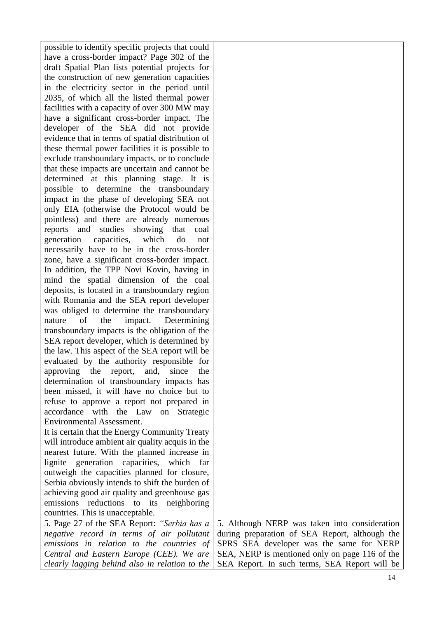| possible to identify specific projects that could |                                                |
|---------------------------------------------------|------------------------------------------------|
| have a cross-border impact? Page 302 of the       |                                                |
| draft Spatial Plan lists potential projects for   |                                                |
| the construction of new generation capacities     |                                                |
| in the electricity sector in the period until     |                                                |
| 2035, of which all the listed thermal power       |                                                |
| facilities with a capacity of over 300 MW may     |                                                |
| have a significant cross-border impact. The       |                                                |
| developer of the SEA did not provide              |                                                |
| evidence that in terms of spatial distribution of |                                                |
| these thermal power facilities it is possible to  |                                                |
| exclude transboundary impacts, or to conclude     |                                                |
| that these impacts are uncertain and cannot be    |                                                |
| determined at this planning stage. It is          |                                                |
| possible to determine the transboundary           |                                                |
| impact in the phase of developing SEA not         |                                                |
| only EIA (otherwise the Protocol would be         |                                                |
| pointless) and there are already numerous         |                                                |
| reports and studies showing that<br>coal          |                                                |
| generation<br>capacities,<br>which<br>do<br>not   |                                                |
| necessarily have to be in the cross-border        |                                                |
| zone, have a significant cross-border impact.     |                                                |
| In addition, the TPP Novi Kovin, having in        |                                                |
| mind the spatial dimension of the coal            |                                                |
| deposits, is located in a transboundary region    |                                                |
| with Romania and the SEA report developer         |                                                |
| was obliged to determine the transboundary        |                                                |
| of<br>the<br>impact.<br>Determining<br>nature     |                                                |
| transboundary impacts is the obligation of the    |                                                |
| SEA report developer, which is determined by      |                                                |
| the law. This aspect of the SEA report will be    |                                                |
| evaluated by the authority responsible for        |                                                |
| approving the report, and, since<br>the           |                                                |
| determination of transboundary impacts has        |                                                |
| been missed, it will have no choice but to        |                                                |
| refuse to approve a report not prepared in        |                                                |
| accordance with the Law on Strategic              |                                                |
| <b>Environmental Assessment.</b>                  |                                                |
| It is certain that the Energy Community Treaty    |                                                |
| will introduce ambient air quality acquis in the  |                                                |
| nearest future. With the planned increase in      |                                                |
| lignite generation capacities, which<br>far       |                                                |
| outweigh the capacities planned for closure,      |                                                |
| Serbia obviously intends to shift the burden of   |                                                |
| achieving good air quality and greenhouse gas     |                                                |
| emissions reductions to its neighboring           |                                                |
| countries. This is unacceptable.                  |                                                |
| 5. Page 27 of the SEA Report: "Serbia has a       | 5. Although NERP was taken into consideration  |
| negative record in terms of air pollutant         | during preparation of SEA Report, although the |
| emissions in relation to the countries of         | SPRS SEA developer was the same for NERP       |
| Central and Eastern Europe (CEE). We are          | SEA, NERP is mentioned only on page 116 of the |
| clearly lagging behind also in relation to the    | SEA Report. In such terms, SEA Report will be  |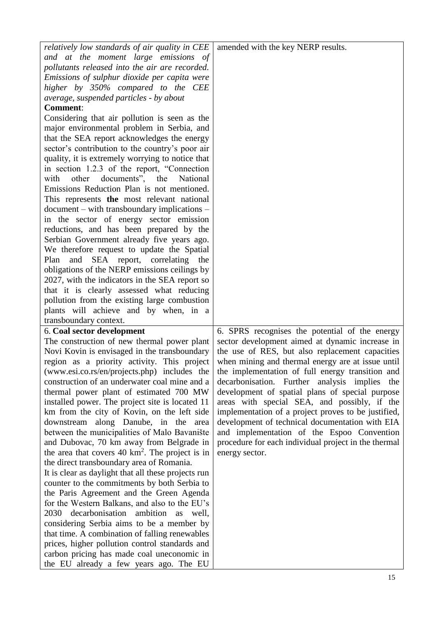| relatively low standards of air quality in CEE                                         | amended with the key NERP results.                   |
|----------------------------------------------------------------------------------------|------------------------------------------------------|
|                                                                                        |                                                      |
| and at the moment large emissions of<br>pollutants released into the air are recorded. |                                                      |
|                                                                                        |                                                      |
| Emissions of sulphur dioxide per capita were                                           |                                                      |
| higher by 350% compared to the CEE                                                     |                                                      |
| average, suspended particles - by about                                                |                                                      |
| <b>Comment:</b>                                                                        |                                                      |
| Considering that air pollution is seen as the                                          |                                                      |
| major environmental problem in Serbia, and                                             |                                                      |
| that the SEA report acknowledges the energy                                            |                                                      |
| sector's contribution to the country's poor air                                        |                                                      |
| quality, it is extremely worrying to notice that                                       |                                                      |
| in section 1.2.3 of the report, "Connection                                            |                                                      |
| other documents", the National<br>with                                                 |                                                      |
| Emissions Reduction Plan is not mentioned.                                             |                                                      |
| This represents the most relevant national                                             |                                                      |
| document – with transboundary implications –                                           |                                                      |
| in the sector of energy sector emission                                                |                                                      |
| reductions, and has been prepared by the                                               |                                                      |
| Serbian Government already five years ago.                                             |                                                      |
| We therefore request to update the Spatial                                             |                                                      |
| SEA report, correlating<br>Plan<br>and<br>the                                          |                                                      |
| obligations of the NERP emissions ceilings by                                          |                                                      |
| 2027, with the indicators in the SEA report so                                         |                                                      |
| that it is clearly assessed what reducing                                              |                                                      |
| pollution from the existing large combustion                                           |                                                      |
| plants will achieve and by when, in a                                                  |                                                      |
| transboundary context.                                                                 |                                                      |
| 6. Coal sector development                                                             | 6. SPRS recognises the potential of the energy       |
| The construction of new thermal power plant                                            | sector development aimed at dynamic increase in      |
| Novi Kovin is envisaged in the transboundary                                           | the use of RES, but also replacement capacities      |
| region as a priority activity. This project                                            | when mining and thermal energy are at issue until    |
| (www.esi.co.rs/en/projects.php) includes the                                           | the implementation of full energy transition and     |
| construction of an underwater coal mine and a                                          | decarbonisation. Further analysis implies the        |
| thermal power plant of estimated 700 MW                                                | development of spatial plans of special purpose      |
| installed power. The project site is located 11                                        | areas with special SEA, and possibly, if the         |
| km from the city of Kovin, on the left side                                            | implementation of a project proves to be justified,  |
| downstream along Danube, in the<br>area                                                | development of technical documentation with EIA      |
| between the municipalities of Malo Bavanište                                           | and implementation of the Espoo Convention           |
| and Dubovac, 70 km away from Belgrade in                                               | procedure for each individual project in the thermal |
| the area that covers 40 km <sup>2</sup> . The project is in                            | energy sector.                                       |
| the direct transboundary area of Romania.                                              |                                                      |
| It is clear as daylight that all these projects run                                    |                                                      |
| counter to the commitments by both Serbia to                                           |                                                      |
| the Paris Agreement and the Green Agenda                                               |                                                      |
| for the Western Balkans, and also to the EU's                                          |                                                      |
| 2030 decarbonisation ambition as well,                                                 |                                                      |
| considering Serbia aims to be a member by                                              |                                                      |
| that time. A combination of falling renewables                                         |                                                      |
|                                                                                        |                                                      |
| prices, higher pollution control standards and                                         |                                                      |
| carbon pricing has made coal uneconomic in                                             |                                                      |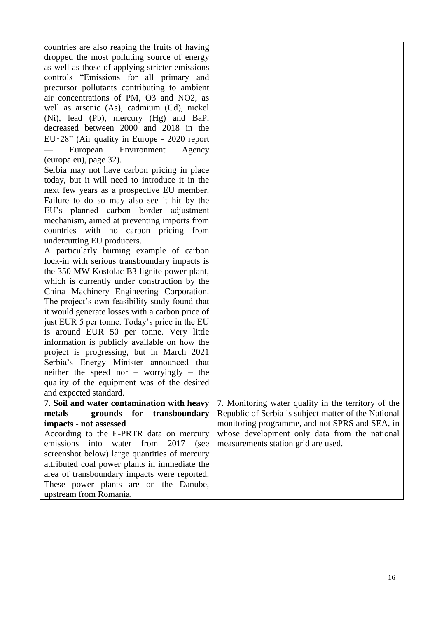| countries are also reaping the fruits of having    |                                                      |
|----------------------------------------------------|------------------------------------------------------|
| dropped the most polluting source of energy        |                                                      |
| as well as those of applying stricter emissions    |                                                      |
| controls "Emissions for all primary and            |                                                      |
| precursor pollutants contributing to ambient       |                                                      |
| air concentrations of PM, O3 and NO2, as           |                                                      |
| well as arsenic (As), cadmium (Cd), nickel         |                                                      |
| (Ni), lead (Pb), mercury (Hg) and BaP,             |                                                      |
| decreased between 2000 and 2018 in the             |                                                      |
| EU-28" (Air quality in Europe - 2020 report        |                                                      |
| Environment<br>European<br>Agency                  |                                                      |
| (europa.eu), page 32).                             |                                                      |
| Serbia may not have carbon pricing in place        |                                                      |
| today, but it will need to introduce it in the     |                                                      |
| next few years as a prospective EU member.         |                                                      |
| Failure to do so may also see it hit by the        |                                                      |
| EU's planned carbon border adjustment              |                                                      |
| mechanism, aimed at preventing imports from        |                                                      |
| countries with no carbon pricing from              |                                                      |
| undercutting EU producers.                         |                                                      |
| A particularly burning example of carbon           |                                                      |
| lock-in with serious transboundary impacts is      |                                                      |
| the 350 MW Kostolac B3 lignite power plant,        |                                                      |
| which is currently under construction by the       |                                                      |
| China Machinery Engineering Corporation.           |                                                      |
| The project's own feasibility study found that     |                                                      |
| it would generate losses with a carbon price of    |                                                      |
| just EUR 5 per tonne. Today's price in the EU      |                                                      |
| is around EUR 50 per tonne. Very little            |                                                      |
| information is publicly available on how the       |                                                      |
| project is progressing, but in March 2021          |                                                      |
| Serbia's Energy Minister announced that            |                                                      |
| neither the speed nor – worryingly – the           |                                                      |
| quality of the equipment was of the desired        |                                                      |
| and expected standard.                             |                                                      |
| 7. Soil and water contamination with heavy         | 7. Monitoring water quality in the territory of the  |
| metals - grounds for transboundary                 | Republic of Serbia is subject matter of the National |
| impacts - not assessed                             | monitoring programme, and not SPRS and SEA, in       |
| According to the E-PRTR data on mercury            | whose development only data from the national        |
| emissions<br>from<br>2017<br>into<br>water<br>(see | measurements station grid are used.                  |
| screenshot below) large quantities of mercury      |                                                      |
| attributed coal power plants in immediate the      |                                                      |
| area of transboundary impacts were reported.       |                                                      |
| These power plants are on the Danube,              |                                                      |
| upstream from Romania.                             |                                                      |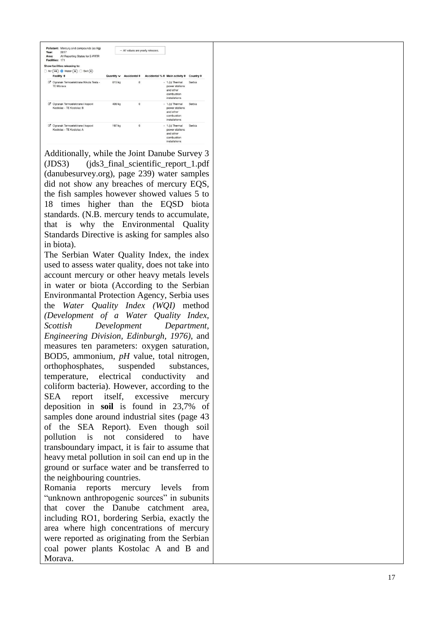| Year:<br>Area: | Pollutant: Mercury and compounds (as Hg)<br>2017<br>All Reporting States for E-PRTR<br>Facilities: 171 |            |                   | - All values are yearly releases. | Accidental % ≑ Main activity ≑                                                       | Country $\div$ |
|----------------|--------------------------------------------------------------------------------------------------------|------------|-------------------|-----------------------------------|--------------------------------------------------------------------------------------|----------------|
| D.             | Show facilities releasing to:<br>Air (145) Water (32)<br>Soil(0)<br>Facility $\div$                    | Quantity v | Accidental $\div$ |                                   |                                                                                      |                |
| ø              | Ogranak Termoelektrane Nikola Tesla -<br><b>TE Morava</b>                                              | 615 kg     | 0                 |                                   | - 1.(c) Thermal<br>power stations<br>and other<br>combustion<br>installations        | Serbia         |
| ß,             | Ogranak Termoelektrane i kopovi<br>Kostolac - TE Kostolac B                                            | 409 kg     | 0                 |                                   | - 1.(c) Thermal<br>power stations<br>and other<br>combustion<br><i>installations</i> | Serbia         |
| ß.             | Ogranak Termoelektrane i kopovi<br>Kostolac - TE Kostolac A                                            | 197 kg     | $\Omega$          |                                   | - 1.(c) Thermal<br>power stations<br>and other<br>combustion<br>installations        | Serbia         |

Additionally, while the Joint Danube Survey 3  $(JDS3)$ (jds3\_final\_scientific\_report\_1.pdf (danubesurvey.org), page 239 ) water samples did not show any breaches of mercury EQS, the fish samples however showed values 5 to 18 times higher than the EQSD biota standards. (N.B. mercury tends to accumulate, that is why the Environmental Quality Standards Directive is asking for samples also in biota).

The Serbian Water Quality Index, the index used to assess water quality, does not take into account mercury or other heavy metals levels in water or biota (According to the Serbian Environmantal Protection Agency, Serbia uses the *Water Quality Index (WQI)* method *(Development of a Water Quality Index, Scottish Development Department, Engineering Division, Edinburgh, 1976)*, and measures ten parameters: oxygen saturation, BOD5, ammonium, *pH* value, total nitrogen, orthophosphates, suspended substances, temperature, electrical conductivity and coliform bacteria ). However, according to the SEA report itself, excessive mercury deposition in **soil** is found in 23,7% of samples done around industrial sites (page 43 of the SEA Report ). Even though soil pollution is not considered to have transboundary impact, it is fair to assume that heavy metal pollution in soil can end up in the ground or surface water and be transferred to the neighbouring countries. Romania reports mercury levels from

"unknown anthropogenic sources" in subunits that cover the Danube catchment area, including RO1, bordering Serbia, exactly the area where high concentrations of mercury were reported as originating from the Serbian coal power plants Kostolac A and B and Morava.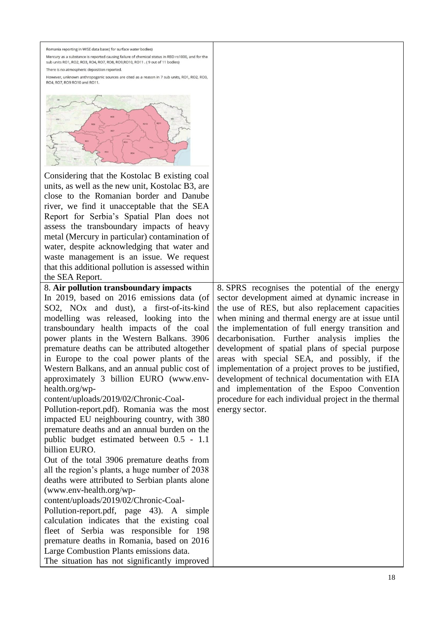| Romania reporting in WISE data base:( for surface water bodies)<br>Mercury as a substance is reported causing failure of chemical status in RBD ro1000, and for the<br>sub units RO1, RO2, RO3, RO4, RO7, RO8, RO9, RO10, RO11. (9 out of 11 bodies)<br>There is no atmospheric deposition reported.<br>However, unknown anthropogenic sources are cited as a reason in 7 sub units, RO1, RO2, RO3,<br>RO4, RO7, RO9 RO10 and RO11.<br>Considering that the Kostolac B existing coal<br>units, as well as the new unit, Kostolac B3, are<br>close to the Romanian border and Danube<br>river, we find it unacceptable that the SEA<br>Report for Serbia's Spatial Plan does not<br>assess the transboundary impacts of heavy<br>metal (Mercury in particular) contamination of<br>water, despite acknowledging that water and<br>waste management is an issue. We request<br>that this additional pollution is assessed within<br>the SEA Report.<br>8. Air pollution transboundary impacts | 8. SPRS recognises the potential of the energy                                                                                                                                                                                                                                                                                                                                                                                                                                                                                                       |
|---------------------------------------------------------------------------------------------------------------------------------------------------------------------------------------------------------------------------------------------------------------------------------------------------------------------------------------------------------------------------------------------------------------------------------------------------------------------------------------------------------------------------------------------------------------------------------------------------------------------------------------------------------------------------------------------------------------------------------------------------------------------------------------------------------------------------------------------------------------------------------------------------------------------------------------------------------------------------------------------|------------------------------------------------------------------------------------------------------------------------------------------------------------------------------------------------------------------------------------------------------------------------------------------------------------------------------------------------------------------------------------------------------------------------------------------------------------------------------------------------------------------------------------------------------|
| In 2019, based on 2016 emissions data (of                                                                                                                                                                                                                                                                                                                                                                                                                                                                                                                                                                                                                                                                                                                                                                                                                                                                                                                                                   | sector development aimed at dynamic increase in                                                                                                                                                                                                                                                                                                                                                                                                                                                                                                      |
| SO2, NO <sub>x</sub> and dust), a first-of-its-kind<br>modelling was released, looking into the<br>transboundary health impacts of the coal<br>power plants in the Western Balkans. 3906<br>premature deaths can be attributed altogether<br>in Europe to the coal power plants of the<br>Western Balkans, and an annual public cost of<br>approximately 3 billion EURO (www.env-<br>health.org/wp-<br>content/uploads/2019/02/Chronic-Coal-<br>Pollution-report.pdf). Romania was the most<br>impacted EU neighbouring country, with 380<br>premature deaths and an annual burden on the<br>public budget estimated between 0.5 - 1.1<br>billion EURO.<br>Out of the total 3906 premature deaths from<br>all the region's plants, a huge number of 2038<br>deaths were attributed to Serbian plants alone<br>(www.env-health.org/wp-                                                                                                                                                       | the use of RES, but also replacement capacities<br>when mining and thermal energy are at issue until<br>the implementation of full energy transition and<br>decarbonisation. Further<br>analysis implies<br>the<br>development of spatial plans of special purpose<br>areas with special SEA, and possibly, if the<br>implementation of a project proves to be justified,<br>development of technical documentation with EIA<br>and implementation of the Espoo Convention<br>procedure for each individual project in the thermal<br>energy sector. |
|                                                                                                                                                                                                                                                                                                                                                                                                                                                                                                                                                                                                                                                                                                                                                                                                                                                                                                                                                                                             |                                                                                                                                                                                                                                                                                                                                                                                                                                                                                                                                                      |
|                                                                                                                                                                                                                                                                                                                                                                                                                                                                                                                                                                                                                                                                                                                                                                                                                                                                                                                                                                                             |                                                                                                                                                                                                                                                                                                                                                                                                                                                                                                                                                      |
| content/uploads/2019/02/Chronic-Coal-<br>Pollution-report.pdf, page 43). A simple                                                                                                                                                                                                                                                                                                                                                                                                                                                                                                                                                                                                                                                                                                                                                                                                                                                                                                           |                                                                                                                                                                                                                                                                                                                                                                                                                                                                                                                                                      |
| calculation indicates that the existing coal                                                                                                                                                                                                                                                                                                                                                                                                                                                                                                                                                                                                                                                                                                                                                                                                                                                                                                                                                |                                                                                                                                                                                                                                                                                                                                                                                                                                                                                                                                                      |
| fleet of Serbia was responsible for 198                                                                                                                                                                                                                                                                                                                                                                                                                                                                                                                                                                                                                                                                                                                                                                                                                                                                                                                                                     |                                                                                                                                                                                                                                                                                                                                                                                                                                                                                                                                                      |
| premature deaths in Romania, based on 2016                                                                                                                                                                                                                                                                                                                                                                                                                                                                                                                                                                                                                                                                                                                                                                                                                                                                                                                                                  |                                                                                                                                                                                                                                                                                                                                                                                                                                                                                                                                                      |
| Large Combustion Plants emissions data.<br>The situation has not significantly improved                                                                                                                                                                                                                                                                                                                                                                                                                                                                                                                                                                                                                                                                                                                                                                                                                                                                                                     |                                                                                                                                                                                                                                                                                                                                                                                                                                                                                                                                                      |